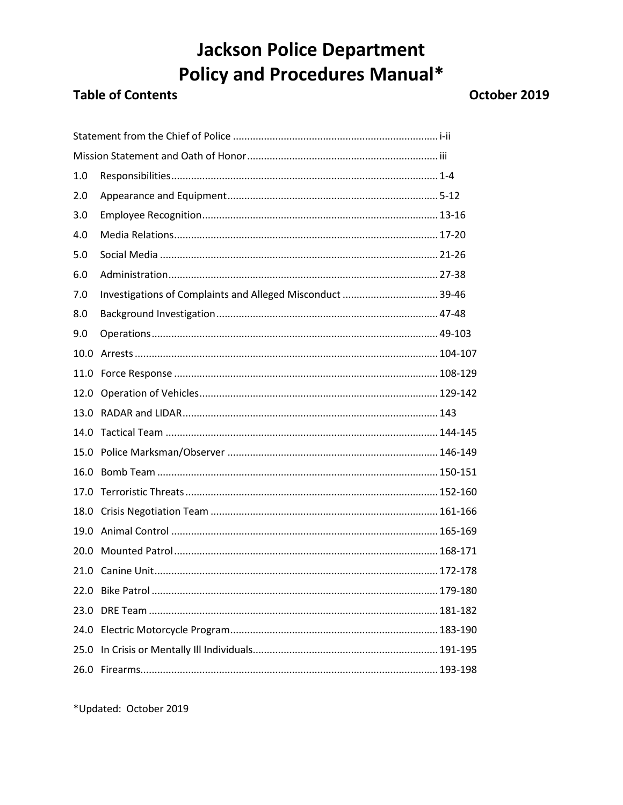# **Jackson Police Department Policy and Procedures Manual\***

### **Table of Contents**

#### October 2019

| 1.0  |                                                            |  |
|------|------------------------------------------------------------|--|
| 2.0  |                                                            |  |
| 3.0  |                                                            |  |
| 4.0  |                                                            |  |
| 5.0  |                                                            |  |
| 6.0  |                                                            |  |
| 7.0  | Investigations of Complaints and Alleged Misconduct  39-46 |  |
| 8.0  |                                                            |  |
| 9.0  |                                                            |  |
| 10.0 |                                                            |  |
| 11.0 |                                                            |  |
| 12.0 |                                                            |  |
|      |                                                            |  |
|      |                                                            |  |
| 14.0 |                                                            |  |
|      |                                                            |  |
| 16.0 |                                                            |  |
|      |                                                            |  |
|      |                                                            |  |
|      |                                                            |  |
|      |                                                            |  |
|      |                                                            |  |
|      |                                                            |  |
|      |                                                            |  |
| 24.0 |                                                            |  |
| 25.0 |                                                            |  |

\*Updated: October 2019